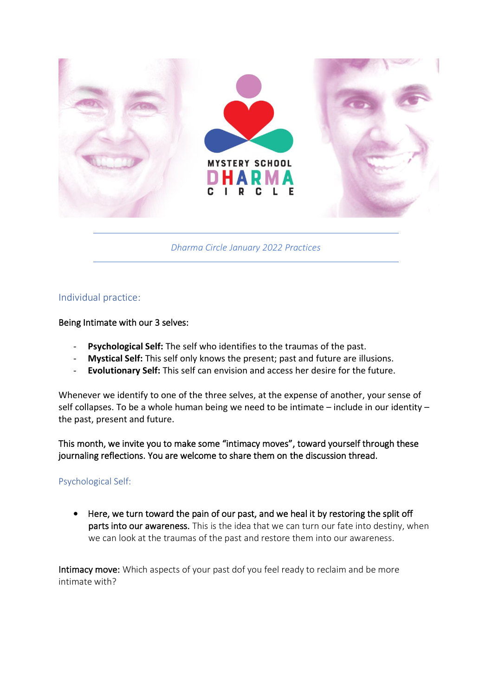

*Dharma Circle January 2022 Practices*

# Individual practice:

#### Being Intimate with our 3 selves:

- **Psychological Self:** The self who identifies to the traumas of the past.
- **Mystical Self:** This self only knows the present; past and future are illusions.
- **Evolutionary Self:** This self can envision and access her desire for the future.

Whenever we identify to one of the three selves, at the expense of another, your sense of self collapses. To be a whole human being we need to be intimate – include in our identity – the past, present and future.

This month, we invite you to make some "intimacy moves", toward yourself through these journaling reflections. You are welcome to share them on the discussion thread.

#### Psychological Self:

• Here, we turn toward the pain of our past, and we heal it by restoring the split off parts into our awareness. This is the idea that we can turn our fate into destiny, when we can look at the traumas of the past and restore them into our awareness.

Intimacy move: Which aspects of your past dof you feel ready to reclaim and be more intimate with?